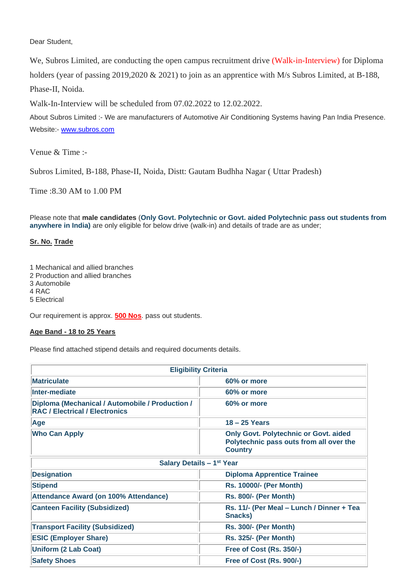Dear Student,

We, Subros Limited, are conducting the open campus recruitment drive (Walk-in-Interview) for Diploma holders (year of passing 2019,2020 & 2021) to join as an apprentice with M/s Subros Limited, at B-188, Phase-II, Noida.

Walk-In-Interview will be scheduled from 07.02.2022 to 12.02.2022.

About Subros Limited :- We are manufacturers of Automotive Air Conditioning Systems having Pan India Presence. Website:- [www.subros.com](https://es.sonicurlprotection-tko.com/click?PV=1&MSGID=202112030512000167925&URLID=2&ESV=10.0.4.2749&IV=81B896AEC3AC136B2F9BDC1489A04525&TT=1638508321216&ESN=Ewo5cNJONPn52a07LpaqIMgDUFZurhC%2FsUoUksqcHDY%3D&KV=1536961729279&ENCODED_URL=www.subros.com&HK=EC1D739215AEB11051935F11B7808E75D23EAB74F88888C9E5DEACA273C3B5FF==)

Venue & Time :-

Subros Limited, B-188, Phase-II, Noida, Distt: Gautam Budhha Nagar ( Uttar Pradesh)

Time :8.30 AM to 1.00 PM

Please note that **male candidates** (**Only Govt. Polytechnic or Govt. aided Polytechnic pass out students from anywhere in India)** are only eligible for below drive (walk-in) and details of trade are as under;

## **Sr. No. Trade**

- 1 Mechanical and allied branches
- 2 Production and allied branches
- 3 Automobile
- 4 RAC
- 5 Electrical

Our requirement is approx. **500 Nos**. pass out students.

## **Age Band - 18 to 25 Years**

Please find attached stipend details and required documents details.

| <b>Eligibility Criteria</b>                                                              |                                                                                                           |  |
|------------------------------------------------------------------------------------------|-----------------------------------------------------------------------------------------------------------|--|
| <b>Matriculate</b>                                                                       | 60% or more                                                                                               |  |
| Inter-mediate                                                                            | 60% or more                                                                                               |  |
| Diploma (Mechanical / Automobile / Production /<br><b>RAC / Electrical / Electronics</b> | 60% or more                                                                                               |  |
| Age                                                                                      | $18 - 25$ Years                                                                                           |  |
| <b>Who Can Apply</b>                                                                     | <b>Only Govt. Polytechnic or Govt. aided</b><br>Polytechnic pass outs from all over the<br><b>Country</b> |  |
| Salary Details - 1st Year                                                                |                                                                                                           |  |
| <b>Designation</b>                                                                       | <b>Diploma Apprentice Trainee</b>                                                                         |  |
| <b>Stipend</b>                                                                           | <b>Rs. 10000/- (Per Month)</b>                                                                            |  |
| Attendance Award (on 100% Attendance)                                                    | <b>Rs. 800/- (Per Month)</b>                                                                              |  |
| <b>Canteen Facility (Subsidized)</b>                                                     | Rs. 11/- (Per Meal - Lunch / Dinner + Tea<br><b>Snacks)</b>                                               |  |
| <b>Transport Facility (Subsidized)</b>                                                   | <b>Rs. 300/- (Per Month)</b>                                                                              |  |
| <b>ESIC (Employer Share)</b>                                                             | <b>Rs. 325/- (Per Month)</b>                                                                              |  |
| <b>Uniform (2 Lab Coat)</b>                                                              | Free of Cost (Rs. 350/-)                                                                                  |  |
| <b>Safety Shoes</b>                                                                      | Free of Cost (Rs. 900/-)                                                                                  |  |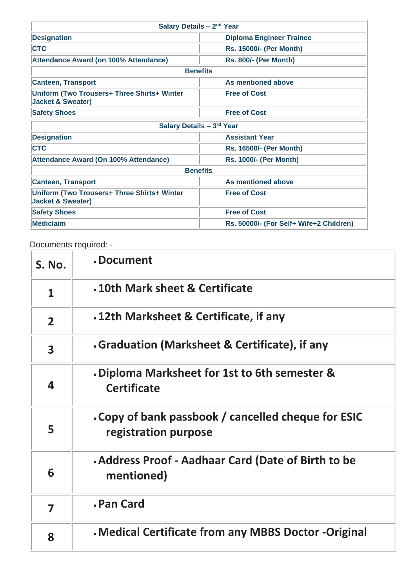| Salary Details - 2 <sup>nd</sup> Year                                              |                                         |  |
|------------------------------------------------------------------------------------|-----------------------------------------|--|
| <b>Designation</b>                                                                 | <b>Diploma Engineer Trainee</b>         |  |
| <b>CTC</b>                                                                         | <b>Rs. 15000/- (Per Month)</b>          |  |
| <b>Attendance Award (on 100% Attendance)</b>                                       | <b>Rs. 800/- (Per Month)</b>            |  |
| <b>Benefits</b>                                                                    |                                         |  |
| <b>Canteen, Transport</b>                                                          | As mentioned above                      |  |
| <b>Uniform (Two Trousers+ Three Shirts+ Winter</b><br><b>Jacket &amp; Sweater)</b> | <b>Free of Cost</b>                     |  |
| <b>Safety Shoes</b>                                                                | <b>Free of Cost</b>                     |  |
| Salary Details - 3rd Year                                                          |                                         |  |
| <b>Designation</b>                                                                 | <b>Assistant Year</b>                   |  |
| <b>CTC</b>                                                                         | <b>Rs. 16500/- (Per Month)</b>          |  |
| Attendance Award (On 100% Attendance)                                              | <b>Rs. 1000/- (Per Month)</b>           |  |
| <b>Benefits</b>                                                                    |                                         |  |
| <b>Canteen, Transport</b>                                                          | As mentioned above                      |  |
| Uniform (Two Trousers+ Three Shirts+ Winter<br><b>Jacket &amp; Sweater)</b>        | <b>Free of Cost</b>                     |  |
| <b>Safety Shoes</b>                                                                | <b>Free of Cost</b>                     |  |
| <b>Mediclaim</b>                                                                   | Rs. 50000/- (For Self+ Wife+2 Children) |  |

Documents required: -

| <b>S. No.</b>           | .Document                                                                   |
|-------------------------|-----------------------------------------------------------------------------|
| 1                       | .10th Mark sheet & Certificate                                              |
| $\overline{2}$          | .12th Marksheet & Certificate, if any                                       |
| $\overline{\mathbf{3}}$ | Graduation (Marksheet & Certificate), if any                                |
| 4                       | . Diploma Marksheet for 1st to 6th semester &<br><b>Certificate</b>         |
| 5                       | . Copy of bank passbook / cancelled cheque for ESIC<br>registration purpose |
| 6                       | . Address Proof - Aadhaar Card (Date of Birth to be<br>mentioned)           |
| $\overline{\mathbf{z}}$ | <b>. Pan Card</b>                                                           |
| 8                       | . Medical Certificate from any MBBS Doctor -Original                        |